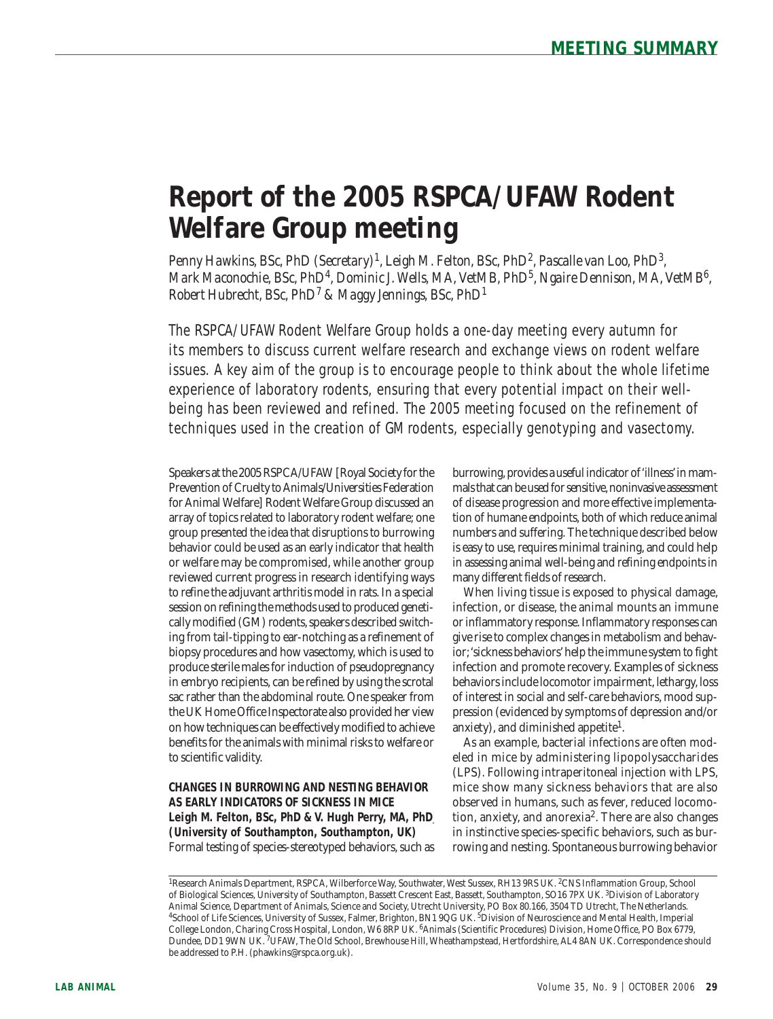# **Report of the 2005 RSPCA/UFAW Rodent Welfare Group meeting**

*Penny Hawkins, BSc, PhD (Secretary)1, Leigh M. Felton, BSc, PhD2, Pascalle van Loo, PhD3, Mark Maconochie, BSc, PhD4, Dominic J. Wells, MA, VetMB, PhD5, Ngaire Dennison, MA, VetMB6, Robert Hubrecht, BSc, PhD7 & Maggy Jennings, BSc, PhD1*

The RSPCA/UFAW Rodent Welfare Group holds a one-day meeting every autumn for its members to discuss current welfare research and exchange views on rodent welfare issues. A key aim of the group is to encourage people to think about the whole lifetime experience of laboratory rodents, ensuring that every potential impact on their wellbeing has been reviewed and refined. The 2005 meeting focused on the refinement of techniques used in the creation of GM rodents, especially genotyping and vasectomy.

Speakers at the 2005 RSPCA/UFAW [Royal Society for the Prevention of Cruelty to Animals/Universities Federation for Animal Welfare] Rodent Welfare Group discussed an array of topics related to laboratory rodent welfare; one group presented the idea that disruptions to burrowing behavior could be used as an early indicator that health or welfare may be compromised, while another group reviewed current progress in research identifying ways to refine the adjuvant arthritis model in rats. In a special session on refining the methods used to produced genetically modified (GM) rodents, speakers described switching from tail-tipping to ear-notching as a refinement of biopsy procedures and how vasectomy, which is used to produce sterile males for induction of pseudopregnancy in embryo recipients, can be refined by using the scrotal sac rather than the abdominal route. One speaker from the UK Home Office Inspectorate also provided her view on how techniques can be effectively modified to achieve benefits for the animals with minimal risks to welfare or to scientific validity.

**CHANGES IN BURROWING AND NESTING BEHAVIOR AS EARLY INDICATORS OF SICKNESS IN MICE** Leigh M. Felton, BSc, PhD & V. Hugh Perry, MA, PhD **(University of Southampton, Southampton, UK)** Formal testing of species-stereotyped behaviors, such as

burrowing, provides a useful indicator of 'illness' in mammals that can be used for sensitive, noninvasive assessment of disease progression and more effective implementation of humane endpoints, both of which reduce animal numbers and suffering. The technique described below is easy to use, requires minimal training, and could help in assessing animal well-being and refining endpoints in many different fields of research.

When living tissue is exposed to physical damage, infection, or disease, the animal mounts an immune or inflammatory response. Inflammatory responses can give rise to complex changes in metabolism and behavior; 'sickness behaviors' help the immune system to fight infection and promote recovery. Examples of sickness behaviors include locomotor impairment, lethargy, loss of interest in social and self-care behaviors, mood suppression (evidenced by symptoms of depression and/or anxiety), and diminished appetite<sup>1</sup>.

As an example, bacterial infections are often modeled in mice by administering lipopolysaccharides (LPS). Following intraperitoneal injection with LPS, mice show many sickness behaviors that are also observed in humans, such as fever, reduced locomotion, anxiety, and anorexia<sup>2</sup>. There are also changes in instinctive species-specific behaviors, such as burrowing and nesting. Spontaneous burrowing behavior

<sup>&</sup>lt;sup>1</sup>Research Animals Department, RSPCA, Wilberforce Way, Southwater, West Sussex, RH13 9RS UK. <sup>2</sup>CNS Inflammation Group, School of Biological Sciences, University of Southampton, Bassett Crescent East, Bassett, Southampton, SO16 7PX UK. <sup>3</sup>Division of Laboratory<br>Animal Science, Department of Animals, Science and Society, Utrecht University, PO Box <sup>4</sup>School of Life Sciences, University of Sussex, Falmer, Brighton, BN1 9QG UK. <sup>5</sup>Division of Neuroscience and Mental Health, Imperial College London, Charing Cross Hospital, London, W6 8RP UK. 6Animals (Scientific Procedures) Division, Home Office, PO Box 6779, Dundee, DD1 9WN UK. 7UFAW, The Old School, Brewhouse Hill, Wheathampstead, Hertfordshire, AL4 8AN UK. Correspondence should be addressed to P.H. (phawkins@rspca.org.uk).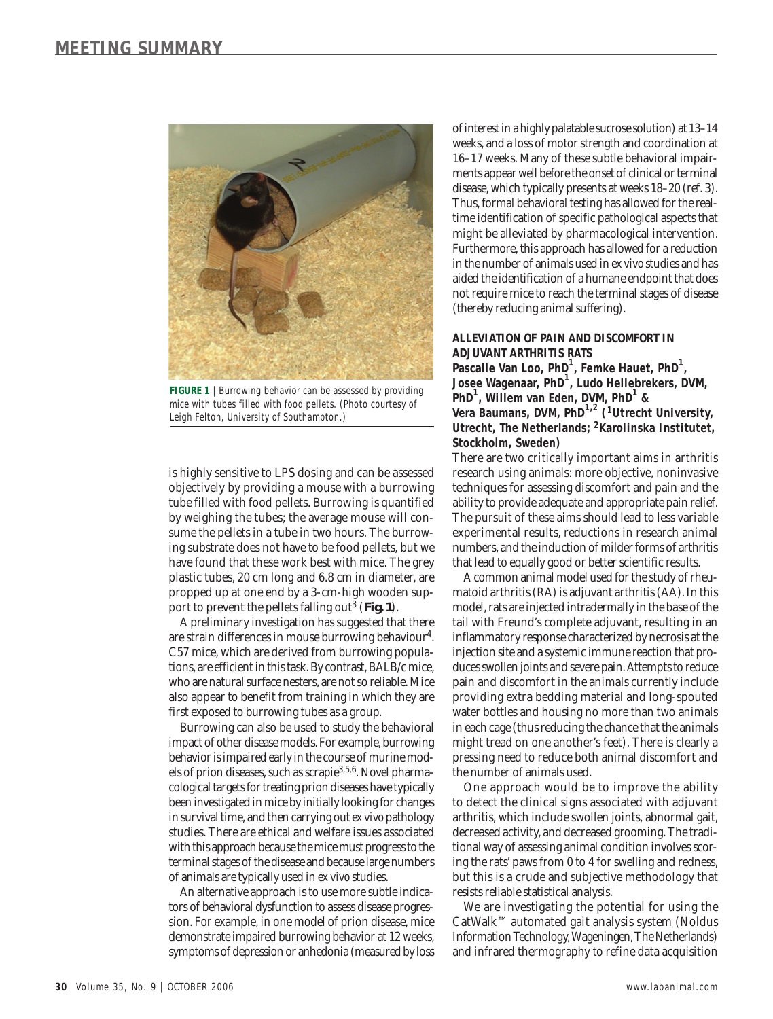

**FIGURE 1** | Burrowing behavior can be assessed by providing mice with tubes filled with food pellets. (Photo courtesy of Leigh Felton, University of Southampton.)

is highly sensitive to LPS dosing and can be assessed objectively by providing a mouse with a burrowing tube filled with food pellets. Burrowing is quantified by weighing the tubes; the average mouse will consume the pellets in a tube in two hours. The burrowing substrate does not have to be food pellets, but we have found that these work best with mice. The grey plastic tubes, 20 cm long and 6.8 cm in diameter, are propped up at one end by a 3-cm-high wooden support to prevent the pellets falling out3 (**Fig. 1**).

A preliminary investigation has suggested that there are strain differences in mouse burrowing behaviour4. C57 mice, which are derived from burrowing populations, are efficient in this task. By contrast, BALB/c mice, who are natural surface nesters, are not so reliable. Mice also appear to benefit from training in which they are first exposed to burrowing tubes as a group.

Burrowing can also be used to study the behavioral impact of other disease models. For example, burrowing behavior is impaired early in the course of murine models of prion diseases, such as scrapie3,5,6. Novel pharmacological targets for treating prion diseases have typically been investigated in mice by initially looking for changes in survival time, and then carrying out *ex vivo* pathology studies. There are ethical and welfare issues associated with this approach because the mice must progress to the terminal stages of the disease and because large numbers of animals are typically used in *ex vivo* studies.

An alternative approach is to use more subtle indicators of behavioral dysfunction to assess disease progression. For example, in one model of prion disease, mice demonstrate impaired burrowing behavior at 12 weeks, symptoms of depression or anhedonia (measured by loss

of interest in a highly palatable sucrose solution) at 13–14 weeks, and a loss of motor strength and coordination at 16–17 weeks. Many of these subtle behavioral impairments appear well before the onset of clinical or terminal disease, which typically presents at weeks 18–20 (ref. 3). Thus, formal behavioral testing has allowed for the realtime identification of specific pathological aspects that might be alleviated by pharmacological intervention. Furthermore, this approach has allowed for a reduction in the number of animals used in *ex vivo* studies and has aided the identification of a humane endpoint that does not require mice to reach the terminal stages of disease (thereby reducing animal suffering).

### **ALLEVIATION OF PAIN AND DISCOMFORT IN ADJUVANT ARTHRITIS RATS**

**Pascalle Van Loo, PhD<sup>1</sup> , Femke Hauet, PhD<sup>1</sup> , Josee Wagenaar, PhD<sup>1</sup> , Ludo Hellebrekers, DVM, PhD<sup>1</sup> , Willem van Eden, DVM, PhD<sup>1</sup> & Vera Baumans, DVM, PhD1,2 (1Utrecht University, Utrecht, The Netherlands; 2Karolinska Institutet, Stockholm, Sweden)**

There are two critically important aims in arthritis research using animals: more objective, noninvasive techniques for assessing discomfort and pain and the ability to provide adequate and appropriate pain relief. The pursuit of these aims should lead to less variable experimental results, reductions in research animal numbers, and the induction of milder forms of arthritis that lead to equally good or better scientific results.

A common animal model used for the study of rheumatoid arthritis (RA) is adjuvant arthritis (AA). In this model, rats are injected intradermally in the base of the tail with Freund's complete adjuvant, resulting in an inflammatory response characterized by necrosis at the injection site and a systemic immune reaction that produces swollen joints and severe pain. Attempts to reduce pain and discomfort in the animals currently include providing extra bedding material and long-spouted water bottles and housing no more than two animals in each cage (thus reducing the chance that the animals might tread on one another's feet). There is clearly a pressing need to reduce both animal discomfort and the number of animals used.

One approach would be to improve the ability to detect the clinical signs associated with adjuvant arthritis, which include swollen joints, abnormal gait, decreased activity, and decreased grooming. The traditional way of assessing animal condition involves scoring the rats' paws from 0 to 4 for swelling and redness, but this is a crude and subjective methodology that resists reliable statistical analysis.

We are investigating the potential for using the CatWalk™ automated gait analysis system (Noldus Information Technology, Wageningen, The Netherlands) and infrared thermography to refine data acquisition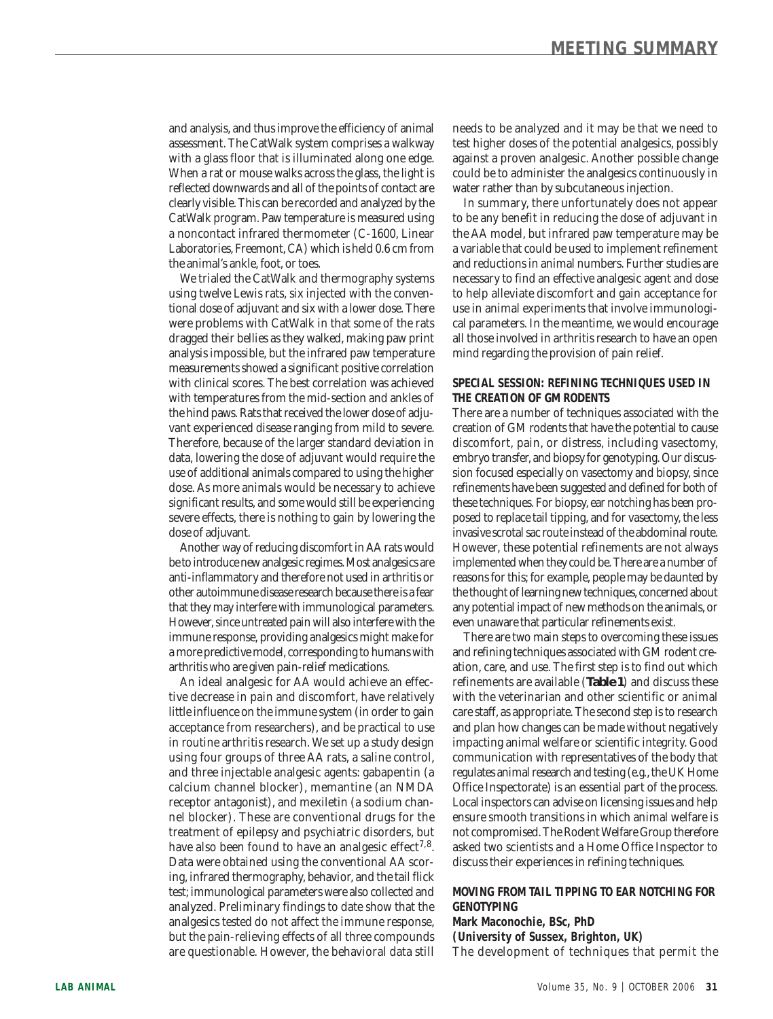and analysis, and thus improve the efficiency of animal assessment. The CatWalk system comprises a walkway with a glass floor that is illuminated along one edge. When a rat or mouse walks across the glass, the light is reflected downwards and all of the points of contact are clearly visible. This can be recorded and analyzed by the CatWalk program. Paw temperature is measured using a noncontact infrared thermometer (C-1600, Linear Laboratories, Freemont, CA) which is held 0.6 cm from the animal's ankle, foot, or toes.

We trialed the CatWalk and thermography systems using twelve Lewis rats, six injected with the conventional dose of adjuvant and six with a lower dose. There were problems with CatWalk in that some of the rats dragged their bellies as they walked, making paw print analysis impossible, but the infrared paw temperature measurements showed a significant positive correlation with clinical scores. The best correlation was achieved with temperatures from the mid-section and ankles of the hind paws. Rats that received the lower dose of adjuvant experienced disease ranging from mild to severe. Therefore, because of the larger standard deviation in data, lowering the dose of adjuvant would require the use of additional animals compared to using the higher dose. As more animals would be necessary to achieve significant results, and some would still be experiencing severe effects, there is nothing to gain by lowering the dose of adjuvant.

Another way of reducing discomfort in AA rats would be to introduce new analgesic regimes. Most analgesics are anti-inflammatory and therefore not used in arthritis or other autoimmune disease research because there is a fear that they may interfere with immunological parameters. However, since untreated pain will also interfere with the immune response, providing analgesics might make for a more predictive model, corresponding to humans with arthritis who are given pain-relief medications.

An ideal analgesic for AA would achieve an effective decrease in pain and discomfort, have relatively little influence on the immune system (in order to gain acceptance from researchers), and be practical to use in routine arthritis research. We set up a study design using four groups of three AA rats, a saline control, and three injectable analgesic agents: gabapentin (a calcium channel blocker), memantine (an NMDA receptor antagonist), and mexiletin (a sodium channel blocker). These are conventional drugs for the treatment of epilepsy and psychiatric disorders, but have also been found to have an analgesic effect<sup>7,8</sup>. Data were obtained using the conventional AA scoring, infrared thermography, behavior, and the tail flick test; immunological parameters were also collected and analyzed. Preliminary findings to date show that the analgesics tested do not affect the immune response, but the pain-relieving effects of all three compounds are questionable. However, the behavioral data still

needs to be analyzed and it may be that we need to test higher doses of the potential analgesics, possibly against a proven analgesic. Another possible change could be to administer the analgesics continuously in water rather than by subcutaneous injection.

In summary, there unfortunately does not appear to be any benefit in reducing the dose of adjuvant in the AA model, but infrared paw temperature may be a variable that could be used to implement refinement and reductions in animal numbers. Further studies are necessary to find an effective analgesic agent and dose to help alleviate discomfort and gain acceptance for use in animal experiments that involve immunological parameters. In the meantime, we would encourage all those involved in arthritis research to have an open mind regarding the provision of pain relief.

## **SPECIAL SESSION: REFINING TECHNIQUES USED IN THE CREATION OF GM RODENTS**

There are a number of techniques associated with the creation of GM rodents that have the potential to cause discomfort, pain, or distress, including vasectomy, embryo transfer, and biopsy for genotyping. Our discussion focused especially on vasectomy and biopsy, since refinements have been suggested and defined for both of these techniques. For biopsy, ear notching has been proposed to replace tail tipping, and for vasectomy, the less invasive scrotal sac route instead of the abdominal route. However, these potential refinements are not always implemented when they could be. There are a number of reasons for this; for example, people may be daunted by the thought of learning new techniques, concerned about any potential impact of new methods on the animals, or even unaware that particular refinements exist.

There are two main steps to overcoming these issues and refining techniques associated with GM rodent creation, care, and use. The first step is to find out which refinements are available (**Table 1**) and discuss these with the veterinarian and other scientific or animal care staff, as appropriate. The second step is to research and plan how changes can be made without negatively impacting animal welfare or scientific integrity. Good communication with representatives of the body that regulates animal research and testing (*e.g.*, the UK Home Office Inspectorate) is an essential part of the process. Local inspectors can advise on licensing issues and help ensure smooth transitions in which animal welfare is not compromised. The Rodent Welfare Group therefore asked two scientists and a Home Office Inspector to discuss their experiences in refining techniques.

# **MOVING FROM TAIL TIPPING TO EAR NOTCHING FOR GENOTYPING**

**Mark Maconochie, BSc, PhD (University of Sussex, Brighton, UK)** The development of techniques that permit the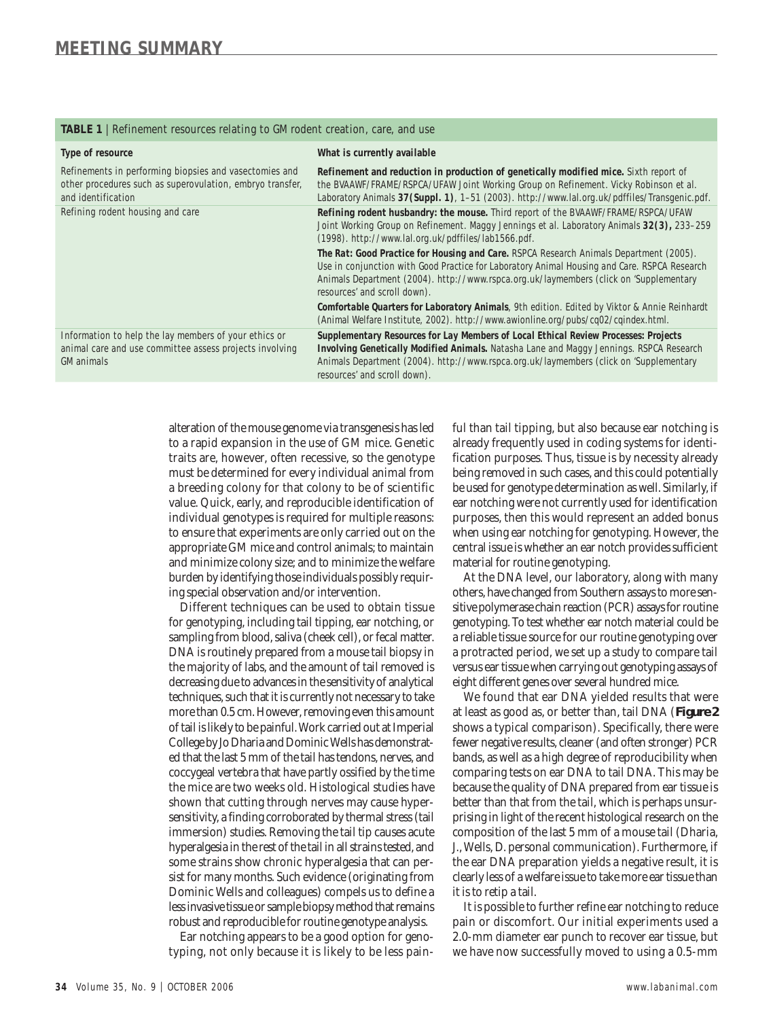### **TABLE 1** | Refinement resources relating to GM rodent creation, care, and use

| Type of resource                                                                                                                          | What is currently available                                                                                                                                                                                                                                                                                      |
|-------------------------------------------------------------------------------------------------------------------------------------------|------------------------------------------------------------------------------------------------------------------------------------------------------------------------------------------------------------------------------------------------------------------------------------------------------------------|
| Refinements in performing biopsies and vasectomies and<br>other procedures such as superovulation, embryo transfer,<br>and identification | Refinement and reduction in production of genetically modified mice. Sixth report of<br>the BVAAWF/FRAME/RSPCA/UFAW Joint Working Group on Refinement. Vicky Robinson et al.<br>Laboratory Animals 37 (Suppl. 1), 1-51 (2003). http://www.lal.org.uk/pdffiles/Transgenic.pdf.                                    |
| Refining rodent housing and care                                                                                                          | Refining rodent husbandry: the mouse. Third report of the BVAAWF/FRAME/RSPCA/UFAW<br>Joint Working Group on Refinement. Maggy Jennings et al. Laboratory Animals 32(3), 233-259<br>(1998). http://www.lal.org.uk/pdffiles/lab1566.pdf.                                                                           |
|                                                                                                                                           | The Rat: Good Practice for Housing and Care. RSPCA Research Animals Department (2005).<br>Use in conjunction with Good Practice for Laboratory Animal Housing and Care. RSPCA Research<br>Animals Department (2004). http://www.rspca.org.uk/laymembers (click on 'Supplementary<br>resources' and scroll down). |
|                                                                                                                                           | Comfortable Quarters for Laboratory Animals, 9th edition. Edited by Viktor & Annie Reinhardt<br>(Animal Welfare Institute, 2002). http://www.awionline.org/pubs/cq02/cqindex.html.                                                                                                                               |
| Information to help the lay members of your ethics or<br>animal care and use committee assess projects involving<br><b>GM</b> animals     | Supplementary Resources for Lay Members of Local Ethical Review Processes: Projects<br><b>Involving Genetically Modified Animals.</b> Natasha Lane and Maggy Jennings. RSPCA Research<br>Animals Department (2004). http://www.rspca.org.uk/laymembers (click on 'Supplementary<br>resources' and scroll down).  |

alteration of the mouse genome via transgenesis has led to a rapid expansion in the use of GM mice. Genetic traits are, however, often recessive, so the genotype must be determined for every individual animal from a breeding colony for that colony to be of scientific value. Quick, early, and reproducible identification of individual genotypes is required for multiple reasons: to ensure that experiments are only carried out on the appropriate GM mice and control animals; to maintain and minimize colony size; and to minimize the welfare burden by identifying those individuals possibly requiring special observation and/or intervention.

Different techniques can be used to obtain tissue for genotyping, including tail tipping, ear notching, or sampling from blood, saliva (cheek cell), or fecal matter. DNA is routinely prepared from a mouse tail biopsy in the majority of labs, and the amount of tail removed is decreasing due to advances in the sensitivity of analytical techniques, such that it is currently not necessary to take more than 0.5 cm. However, removing even this amount of tail is likely to be painful. Work carried out at Imperial College by Jo Dharia and Dominic Wells has demonstrated that the last 5 mm of the tail has tendons, nerves, and coccygeal vertebra that have partly ossified by the time the mice are two weeks old. Histological studies have shown that cutting through nerves may cause hypersensitivity, a finding corroborated by thermal stress (tail immersion) studies. Removing the tail tip causes acute hyperalgesia in the rest of the tail in all strains tested, and some strains show chronic hyperalgesia that can persist for many months. Such evidence (originating from Dominic Wells and colleagues) compels us to define a less invasive tissue or sample biopsy method that remains robust and reproducible for routine genotype analysis.

Ear notching appears to be a good option for genotyping, not only because it is likely to be less pain-

ful than tail tipping, but also because ear notching is already frequently used in coding systems for identification purposes. Thus, tissue is by necessity already being removed in such cases, and this could potentially be used for genotype determination as well. Similarly, if ear notching were not currently used for identification purposes, then this would represent an added bonus when using ear notching for genotyping. However, the central issue is whether an ear notch provides sufficient material for routine genotyping.

At the DNA level, our laboratory, along with many others, have changed from Southern assays to more sensitive polymerase chain reaction (PCR) assays for routine genotyping. To test whether ear notch material could be a reliable tissue source for our routine genotyping over a protracted period, we set up a study to compare tail versus ear tissue when carrying out genotyping assays of eight different genes over several hundred mice.

We found that ear DNA yielded results that were at least as good as, or better than, tail DNA (**Figure 2** shows a typical comparison). Specifically, there were fewer negative results, cleaner (and often stronger) PCR bands, as well as a high degree of reproducibility when comparing tests on ear DNA to tail DNA. This may be because the quality of DNA prepared from ear tissue is better than that from the tail, which is perhaps unsurprising in light of the recent histological research on the composition of the last 5 mm of a mouse tail (Dharia, J., Wells, D. personal communication). Furthermore, if the ear DNA preparation yields a negative result, it is clearly less of a welfare issue to take more ear tissue than it is to retip a tail.

It is possible to further refine ear notching to reduce pain or discomfort. Our initial experiments used a 2.0-mm diameter ear punch to recover ear tissue, but we have now successfully moved to using a 0.5-mm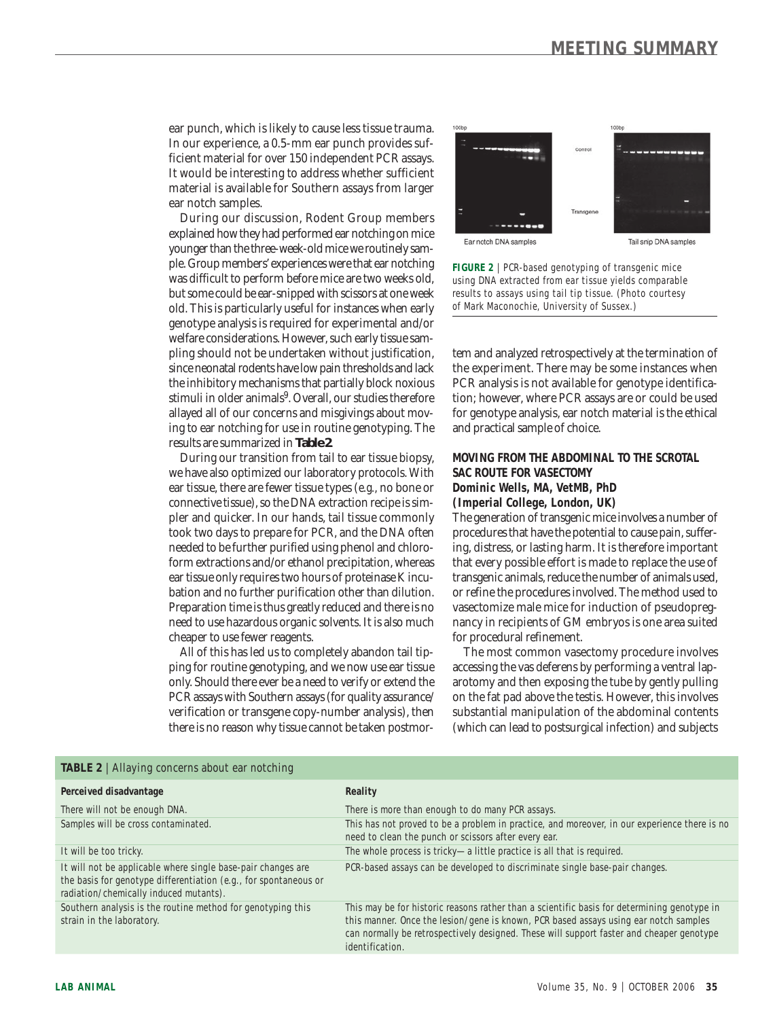ear punch, which is likely to cause less tissue trauma. In our experience, a 0.5-mm ear punch provides sufficient material for over 150 independent PCR assays. It would be interesting to address whether sufficient material is available for Southern assays from larger ear notch samples.

During our discussion, Rodent Group members explained how they had performed ear notching on mice younger than the three-week-old mice we routinely sample. Group members' experiences were that ear notching was difficult to perform before mice are two weeks old, but some could be ear-snipped with scissors at one week old. This is particularly useful for instances when early genotype analysis is required for experimental and/or welfare considerations. However, such early tissue sampling should not be undertaken without justification, since neonatal rodents have low pain thresholds and lack the inhibitory mechanisms that partially block noxious stimuli in older animals<sup>9</sup>. Overall, our studies therefore allayed all of our concerns and misgivings about moving to ear notching for use in routine genotyping. The results are summarized in **Table 2**.

During our transition from tail to ear tissue biopsy, we have also optimized our laboratory protocols. With ear tissue, there are fewer tissue types (*e.g.,* no bone or connective tissue), so the DNA extraction recipe is simpler and quicker. In our hands, tail tissue commonly took two days to prepare for PCR, and the DNA often needed to be further purified using phenol and chloroform extractions and/or ethanol precipitation, whereas ear tissue only requires two hours of proteinase K incubation and no further purification other than dilution. Preparation time is thus greatly reduced and there is no need to use hazardous organic solvents. It is also much cheaper to use fewer reagents.

All of this has led us to completely abandon tail tipping for routine genotyping, and we now use ear tissue only. Should there ever be a need to verify or extend the PCR assays with Southern assays (for quality assurance/ verification or transgene copy-number analysis), then there is no reason why tissue cannot be taken postmor-



**FIGURE 2** | PCR-based genotyping of transgenic mice using DNA extracted from ear tissue yields comparable results to assays using tail tip tissue. (Photo courtesy of Mark Maconochie, University of Sussex.)

tem and analyzed retrospectively at the termination of the experiment. There may be some instances when PCR analysis is not available for genotype identification; however, where PCR assays are or could be used for genotype analysis, ear notch material is the ethical and practical sample of choice.

# **MOVING FROM THE ABDOMINAL TO THE SCROTAL SAC ROUTE FOR VASECTOMY**

**Dominic Wells, MA, VetMB, PhD**

**(Imperial College, London, UK)**

The generation of transgenic mice involves a number of procedures that have the potential to cause pain, suffering, distress, or lasting harm. It is therefore important that every possible effort is made to replace the use of transgenic animals, reduce the number of animals used, or refine the procedures involved. The method used to vasectomize male mice for induction of pseudopregnancy in recipients of GM embryos is one area suited for procedural refinement.

The most common vasectomy procedure involves accessing the vas deferens by performing a ventral laparotomy and then exposing the tube by gently pulling on the fat pad above the testis. However, this involves substantial manipulation of the abdominal contents (which can lead to postsurgical infection) and subjects

| <b>TADLE</b> $\boldsymbol{\epsilon}$   Allayting concerns about ear notching                                                                                                 |                                                                                                                                                                                                                                                                                                    |
|------------------------------------------------------------------------------------------------------------------------------------------------------------------------------|----------------------------------------------------------------------------------------------------------------------------------------------------------------------------------------------------------------------------------------------------------------------------------------------------|
| Perceived disadvantage                                                                                                                                                       | Reality                                                                                                                                                                                                                                                                                            |
| There will not be enough DNA.                                                                                                                                                | There is more than enough to do many PCR assays.                                                                                                                                                                                                                                                   |
| Samples will be cross contaminated.                                                                                                                                          | This has not proved to be a problem in practice, and moreover, in our experience there is no<br>need to clean the punch or scissors after every ear.                                                                                                                                               |
| It will be too tricky.                                                                                                                                                       | The whole process is tricky-a little practice is all that is required.                                                                                                                                                                                                                             |
| It will not be applicable where single base-pair changes are<br>the basis for genotype differentiation $(e.q.,$ for spontaneous or<br>radiation/chemically induced mutants). | PCR-based assays can be developed to discriminate single base-pair changes.                                                                                                                                                                                                                        |
| Southern analysis is the routine method for genotyping this<br>strain in the laboratory.                                                                                     | This may be for historic reasons rather than a scientific basis for determining genotype in<br>this manner. Once the lesion/gene is known, PCR based assays using ear notch samples<br>can normally be retrospectively designed. These will support faster and cheaper genotype<br>identification. |

 $TA$ **BIE 9** | Allaying  $cc$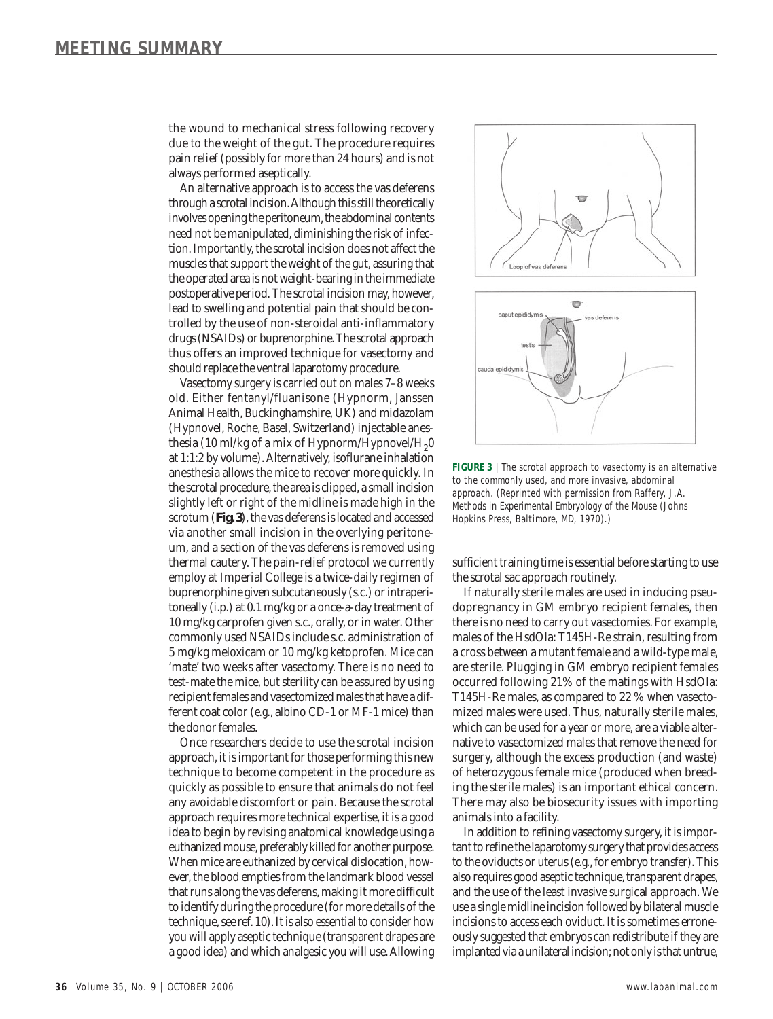the wound to mechanical stress following recovery due to the weight of the gut. The procedure requires pain relief (possibly for more than 24 hours) and is not always performed aseptically.

An alternative approach is to access the vas deferens through a scrotal incision. Although this still theoretically involves opening the peritoneum, the abdominal contents need not be manipulated, diminishing the risk of infection. Importantly, the scrotal incision does not affect the muscles that support the weight of the gut, assuring that the operated area is not weight-bearing in the immediate postoperative period. The scrotal incision may, however, lead to swelling and potential pain that should be controlled by the use of non-steroidal anti-inflammatory drugs (NSAIDs) or buprenorphine. The scrotal approach thus offers an improved technique for vasectomy and should replace the ventral laparotomy procedure.

Vasectomy surgery is carried out on males 7–8 weeks old. Either fentanyl/fluanisone (Hypnorm, Janssen Animal Health, Buckinghamshire, UK) and midazolam (Hypnovel, Roche, Basel, Switzerland) injectable anesthesia (10 ml/kg of a mix of Hypnorm/Hypnovel/H<sub>2</sub>0 at 1:1:2 by volume). Alternatively, isoflurane inhalation anesthesia allows the mice to recover more quickly. In the scrotal procedure, the area is clipped, a small incision slightly left or right of the midline is made high in the scrotum (**Fig. 3**), the vas deferens is located and accessed via another small incision in the overlying peritoneum, and a section of the vas deferens is removed using thermal cautery. The pain-relief protocol we currently employ at Imperial College is a twice-daily regimen of buprenorphine given subcutaneously (s.c.) or intraperitoneally (i.p.) at 0.1 mg/kg or a once-a-day treatment of 10 mg/kg carprofen given s.c., orally, or in water. Other commonly used NSAIDs include s.c. administration of 5 mg/kg meloxicam or 10 mg/kg ketoprofen. Mice can 'mate' two weeks after vasectomy. There is no need to test-mate the mice, but sterility can be assured by using recipient females and vasectomized males that have a different coat color (*e.g*., albino CD-1 or MF-1 mice) than the donor females.

Once researchers decide to use the scrotal incision approach, it is important for those performing this new technique to become competent in the procedure as quickly as possible to ensure that animals do not feel any avoidable discomfort or pain. Because the scrotal approach requires more technical expertise, it is a good idea to begin by revising anatomical knowledge using a euthanized mouse, preferably killed for another purpose. When mice are euthanized by cervical dislocation, however, the blood empties from the landmark blood vessel that runs along the vas deferens, making it more difficult to identify during the procedure (for more details of the technique, see ref. 10). It is also essential to consider how you will apply aseptic technique (transparent drapes are a good idea) and which analgesic you will use. Allowing



**FIGURE 3** | The scrotal approach to vasectomy is an alternative to the commonly used, and more invasive, abdominal approach. (Reprinted with permission from Raffery, J.A. *Methods in Experimental Embryology of the Mouse* (Johns Hopkins Press, Baltimore, MD, 1970).)

sufficient training time is essential before starting to use the scrotal sac approach routinely.

If naturally sterile males are used in inducing pseudopregnancy in GM embryo recipient females, then there is no need to carry out vasectomies. For example, males of the HsdOla: T145H-Re strain, resulting from a cross between a mutant female and a wild-type male, are sterile. Plugging in GM embryo recipient females occurred following 21% of the matings with HsdOla: T145H-Re males, as compared to 22 % when vasectomized males were used. Thus, naturally sterile males, which can be used for a year or more, are a viable alternative to vasectomized males that remove the need for surgery, although the excess production (and waste) of heterozygous female mice (produced when breeding the sterile males) is an important ethical concern. There may also be biosecurity issues with importing animals into a facility.

In addition to refining vasectomy surgery, it is important to refine the laparotomy surgery that provides access to the oviducts or uterus (*e.g.*, for embryo transfer). This also requires good aseptic technique, transparent drapes, and the use of the least invasive surgical approach. We use a single midline incision followed by bilateral muscle incisions to access each oviduct. It is sometimes erroneously suggested that embryos can redistribute if they are implanted via a unilateral incision; not only is that untrue,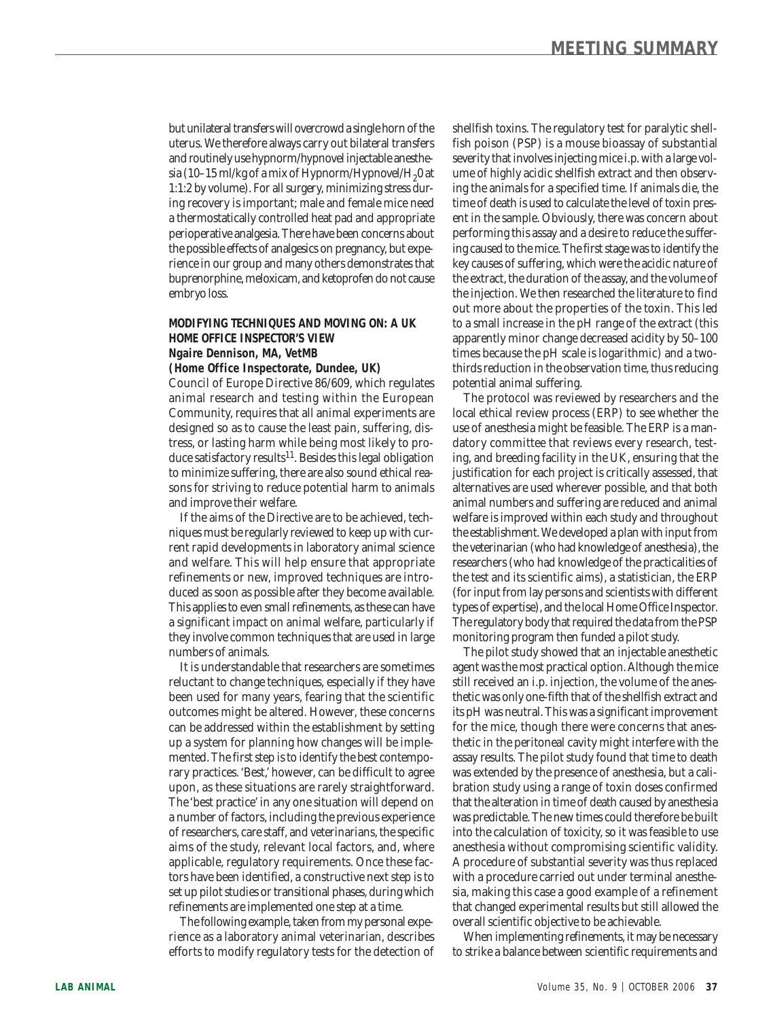but unilateral transfers will overcrowd a single horn of the uterus. We therefore always carry out bilateral transfers and routinely use hypnorm/hypnovel injectable anesthesia (10-15 ml/kg of a mix of Hypnorm/Hypnovel/H<sub>2</sub>0 at 1:1:2 by volume). For all surgery, minimizing stress during recovery is important; male and female mice need a thermostatically controlled heat pad and appropriate perioperative analgesia. There have been concerns about the possible effects of analgesics on pregnancy, but experience in our group and many others demonstrates that buprenorphine, meloxicam, and ketoprofen do not cause embryo loss.

## **MODIFYING TECHNIQUES AND MOVING ON: A UK HOME OFFICE INSPECTOR'S VIEW Ngaire Dennison, MA, VetMB**

**(Home Office Inspectorate, Dundee, UK)**

Council of Europe Directive 86/609, which regulates animal research and testing within the European Community, requires that all animal experiments are designed so as to cause the least pain, suffering, distress, or lasting harm while being most likely to produce satisfactory results<sup>11</sup>. Besides this legal obligation to minimize suffering, there are also sound ethical reasons for striving to reduce potential harm to animals and improve their welfare.

If the aims of the Directive are to be achieved, techniques must be regularly reviewed to keep up with current rapid developments in laboratory animal science and welfare. This will help ensure that appropriate refinements or new, improved techniques are introduced as soon as possible after they become available. This applies to even small refinements, as these can have a significant impact on animal welfare, particularly if they involve common techniques that are used in large numbers of animals.

It is understandable that researchers are sometimes reluctant to change techniques, especially if they have been used for many years, fearing that the scientific outcomes might be altered. However, these concerns can be addressed within the establishment by setting up a system for planning how changes will be implemented. The first step is to identify the best contemporary practices. 'Best,' however, can be difficult to agree upon, as these situations are rarely straightforward. The 'best practice' in any one situation will depend on a number of factors, including the previous experience of researchers, care staff, and veterinarians, the specific aims of the study, relevant local factors, and, where applicable, regulatory requirements. Once these factors have been identified, a constructive next step is to set up pilot studies or transitional phases, during which refinements are implemented one step at a time.

The following example, taken from my personal experience as a laboratory animal veterinarian, describes efforts to modify regulatory tests for the detection of

shellfish toxins. The regulatory test for paralytic shellfish poison (PSP) is a mouse bioassay of substantial severity that involves injecting mice i.p. with a large volume of highly acidic shellfish extract and then observing the animals for a specified time. If animals die, the time of death is used to calculate the level of toxin present in the sample. Obviously, there was concern about performing this assay and a desire to reduce the suffering caused to the mice. The first stage was to identify the key causes of suffering, which were the acidic nature of the extract, the duration of the assay, and the volume of the injection. We then researched the literature to find out more about the properties of the toxin. This led to a small increase in the pH range of the extract (this apparently minor change decreased acidity by 50–100 times because the pH scale is logarithmic) and a twothirds reduction in the observation time, thus reducing potential animal suffering.

The protocol was reviewed by researchers and the local ethical review process (ERP) to see whether the use of anesthesia might be feasible. The ERP is a mandatory committee that reviews every research, testing, and breeding facility in the UK, ensuring that the justification for each project is critically assessed, that alternatives are used wherever possible, and that both animal numbers and suffering are reduced and animal welfare is improved within each study and throughout the establishment. We developed a plan with input from the veterinarian (who had knowledge of anesthesia), the researchers (who had knowledge of the practicalities of the test and its scientific aims), a statistician, the ERP (for input from lay persons and scientists with different types of expertise), and the local Home Office Inspector. The regulatory body that required the data from the PSP monitoring program then funded a pilot study.

The pilot study showed that an injectable anesthetic agent was the most practical option. Although the mice still received an i.p. injection, the volume of the anesthetic was only one-fifth that of the shellfish extract and its pH was neutral. This was a significant improvement for the mice, though there were concerns that anesthetic in the peritoneal cavity might interfere with the assay results. The pilot study found that time to death was extended by the presence of anesthesia, but a calibration study using a range of toxin doses confirmed that the alteration in time of death caused by anesthesia was predictable. The new times could therefore be built into the calculation of toxicity, so it was feasible to use anesthesia without compromising scientific validity. A procedure of substantial severity was thus replaced with a procedure carried out under terminal anesthesia, making this case a good example of a refinement that changed experimental results but still allowed the overall scientific objective to be achievable.

When implementing refinements, it may be necessary to strike a balance between scientific requirements and